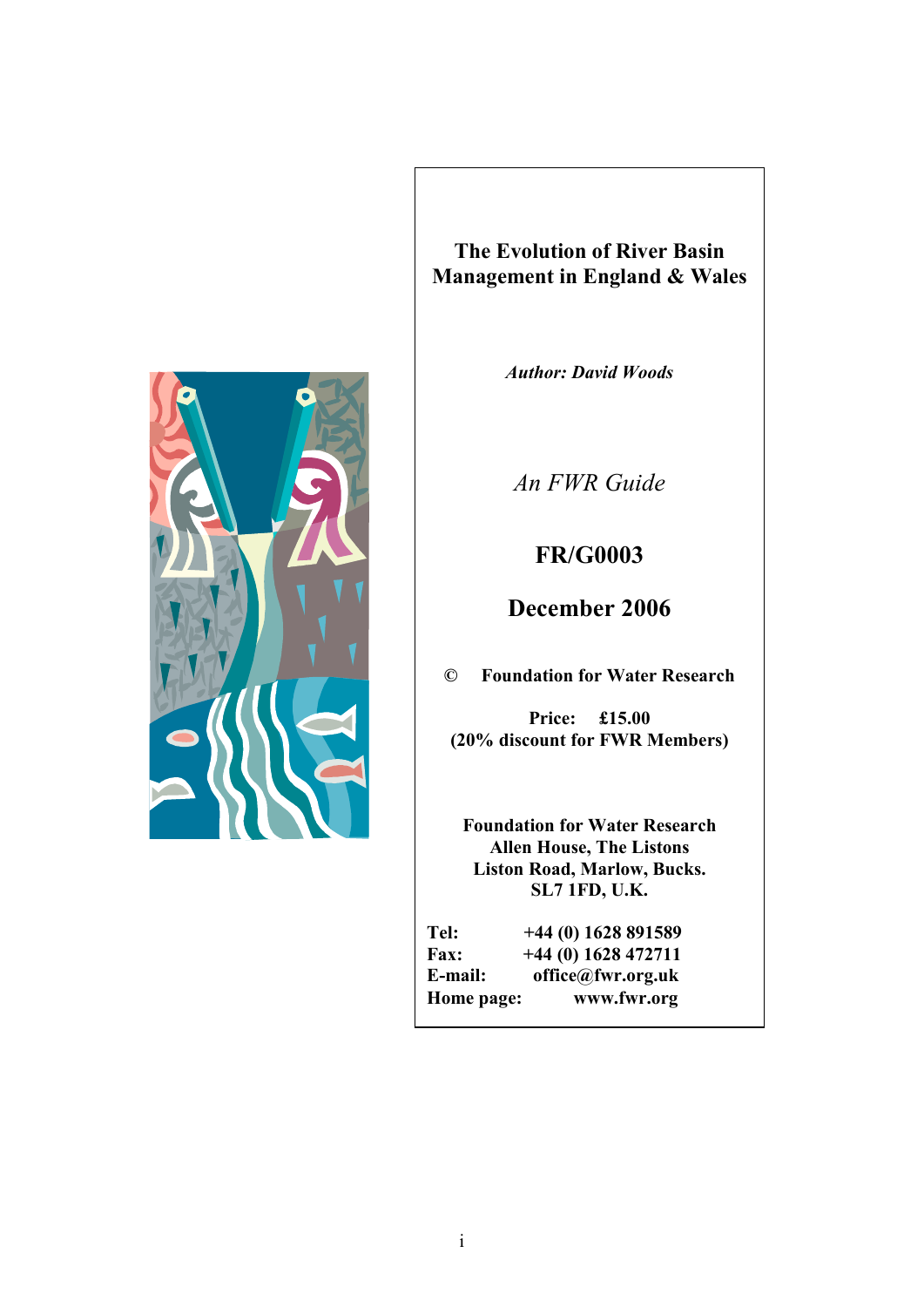

**The Evolution of River Basin Management in England & Wales**

*Author: David Woods* 

*An FWR Guide* 

# **FR/G0003**

**December 2006** 

**© Foundation for Water Research** 

**Price: £15.00 (20% discount for FWR Members)** 

**Foundation for Water Research Allen House, The Listons Liston Road, Marlow, Bucks. SL7 1FD, U.K.** 

| Tel:        | $+44(0)$ 1628 891589 |
|-------------|----------------------|
| <b>Fax:</b> | $+44(0)$ 1628 472711 |
| E-mail:     | office@fwr.org.uk    |
| Home page:  | www.fwr.org          |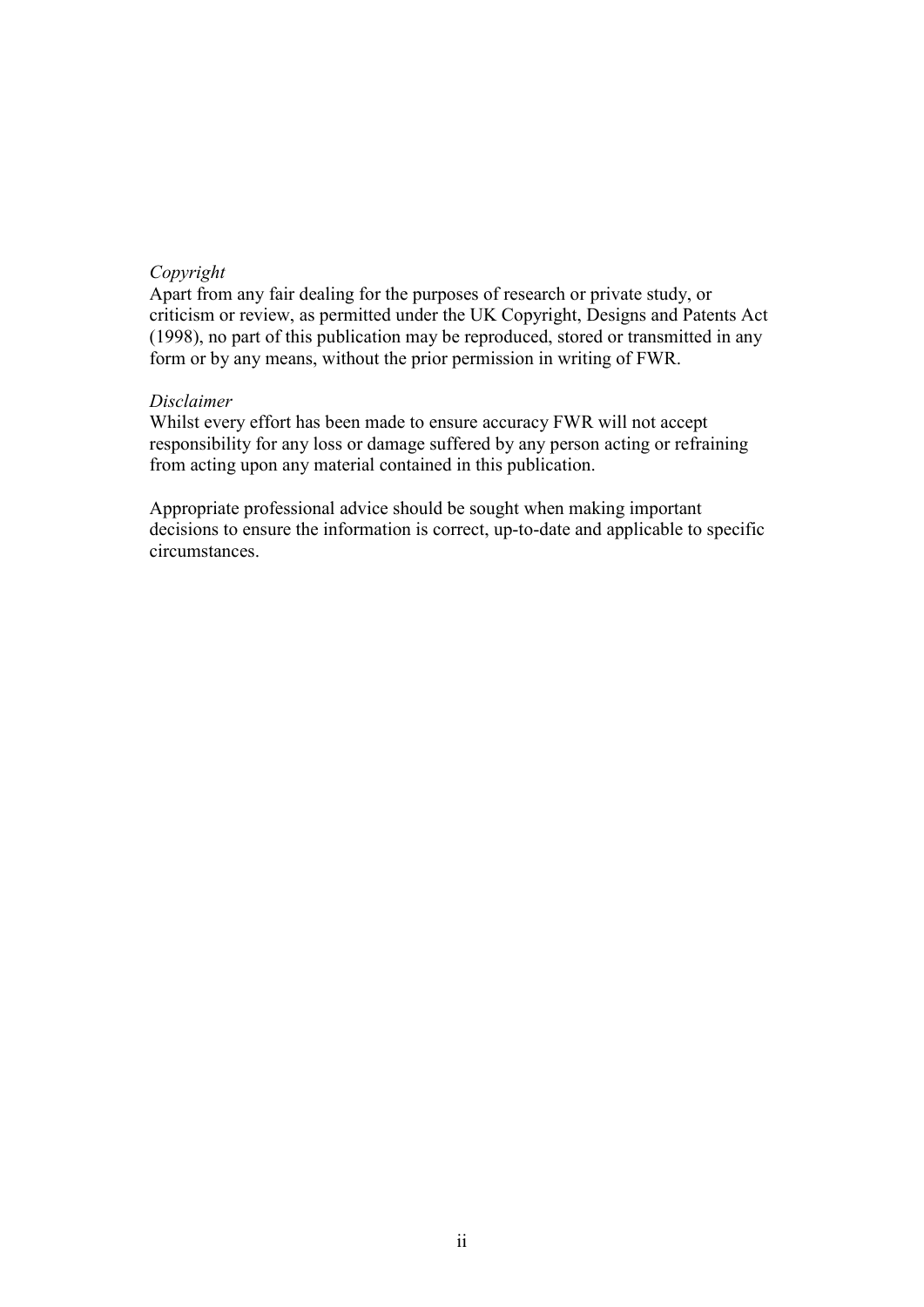#### *Copyright*

Apart from any fair dealing for the purposes of research or private study, or criticism or review, as permitted under the UK Copyright, Designs and Patents Act (1998), no part of this publication may be reproduced, stored or transmitted in any form or by any means, without the prior permission in writing of FWR.

#### *Disclaimer*

Whilst every effort has been made to ensure accuracy FWR will not accept responsibility for any loss or damage suffered by any person acting or refraining from acting upon any material contained in this publication.

Appropriate professional advice should be sought when making important decisions to ensure the information is correct, up-to-date and applicable to specific circumstances.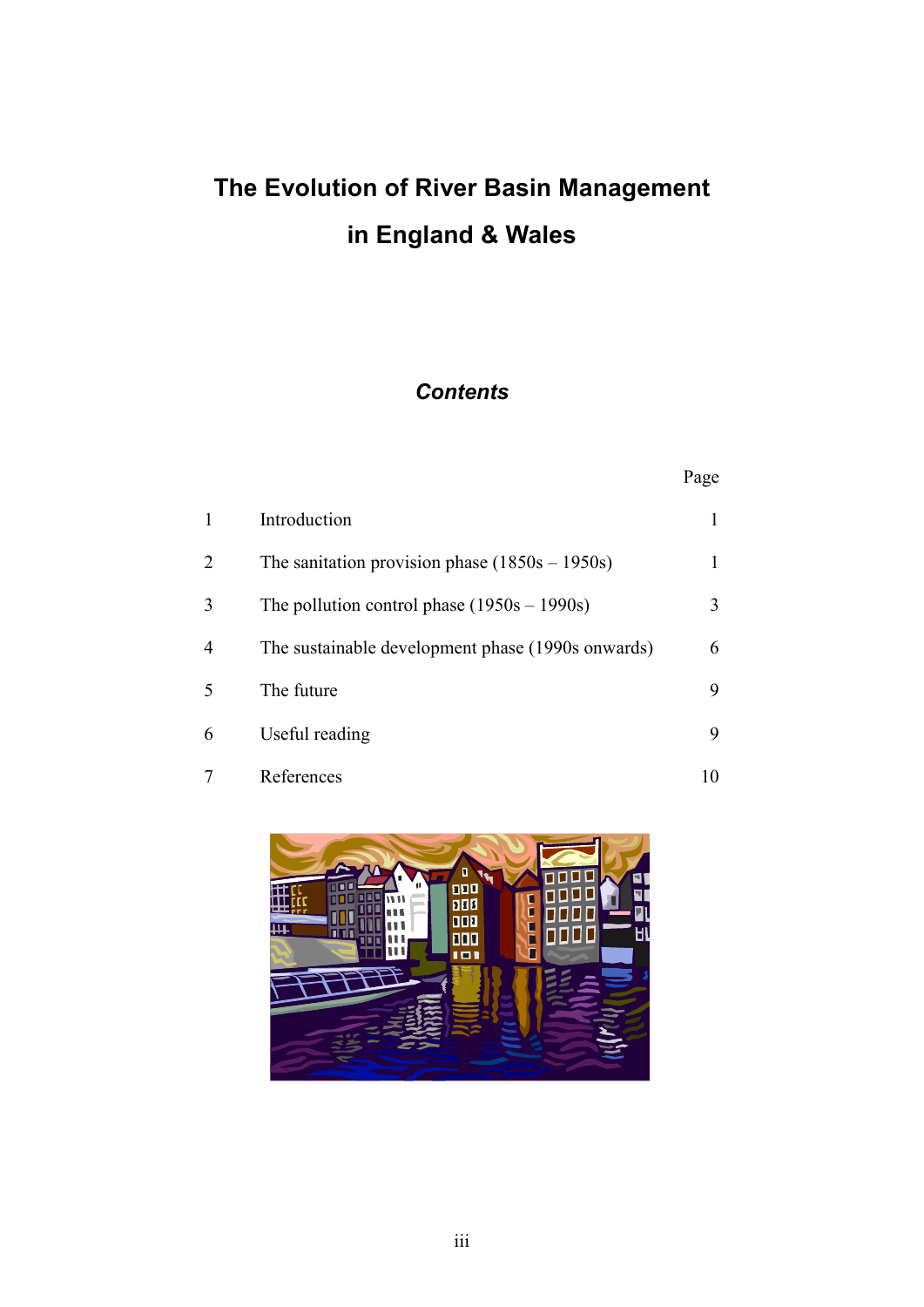# **The Evolution of River Basin Management in England & Wales**

# *Contents*

|   |                                                   | Page |
|---|---------------------------------------------------|------|
| 1 | Introduction                                      |      |
| 2 | The sanitation provision phase $(1850s - 1950s)$  | 1    |
| 3 | The pollution control phase $(1950s - 1990s)$     | 3    |
| 4 | The sustainable development phase (1990s onwards) | 6    |
| 5 | The future                                        | 9    |
| 6 | Useful reading                                    | 9    |
|   | References                                        | 10   |

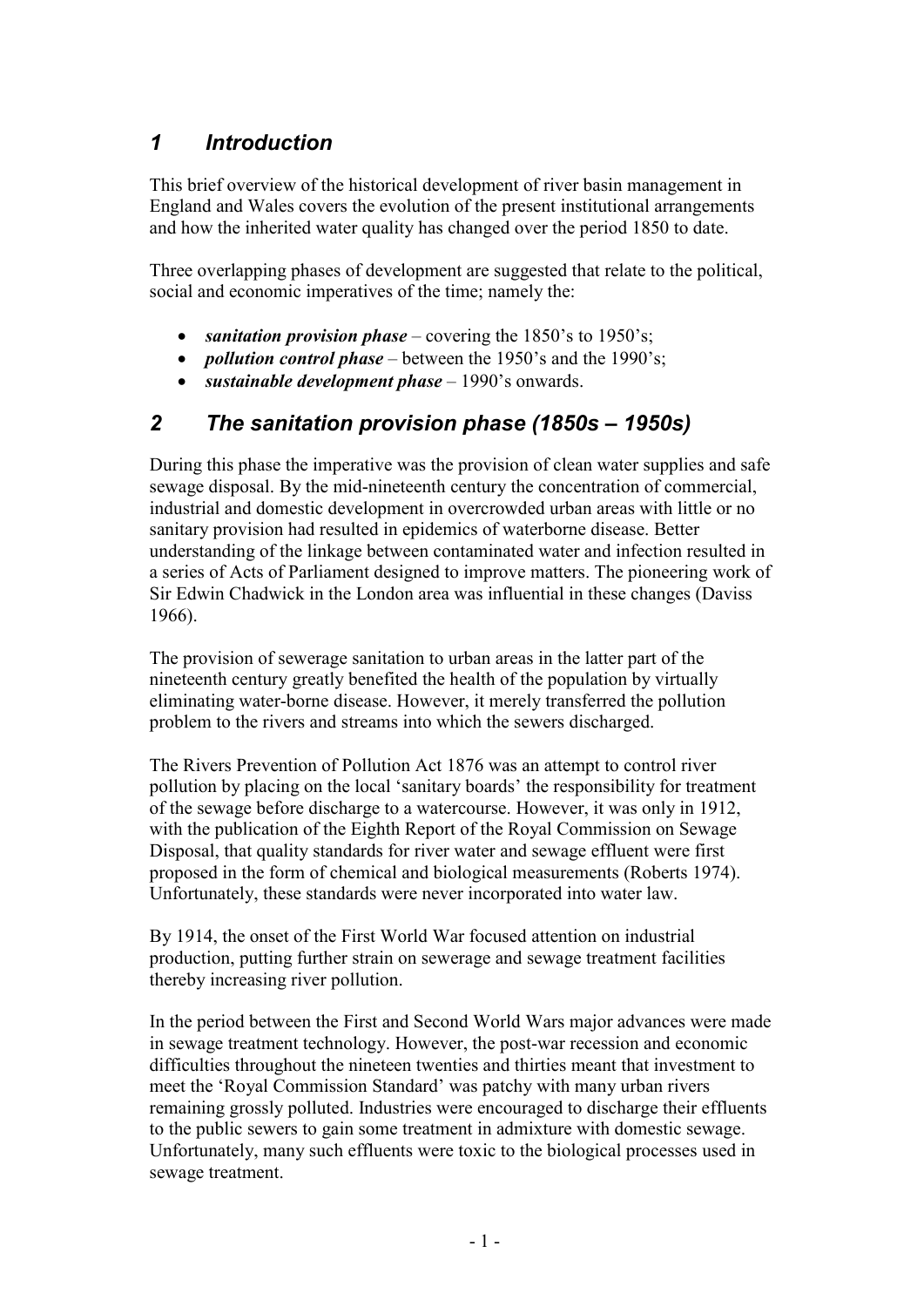# *1 Introduction*

This brief overview of the historical development of river basin management in England and Wales covers the evolution of the present institutional arrangements and how the inherited water quality has changed over the period 1850 to date.

Three overlapping phases of development are suggested that relate to the political, social and economic imperatives of the time; namely the:

- *sanitation provision phase* covering the 1850's to 1950's;
- *pollution control phase* between the 1950's and the 1990's;
- *sustainable development phase* 1990's onwards.

## *2 The sanitation provision phase (1850s – 1950s)*

During this phase the imperative was the provision of clean water supplies and safe sewage disposal. By the mid-nineteenth century the concentration of commercial, industrial and domestic development in overcrowded urban areas with little or no sanitary provision had resulted in epidemics of waterborne disease. Better understanding of the linkage between contaminated water and infection resulted in a series of Acts of Parliament designed to improve matters. The pioneering work of Sir Edwin Chadwick in the London area was influential in these changes (Daviss 1966).

The provision of sewerage sanitation to urban areas in the latter part of the nineteenth century greatly benefited the health of the population by virtually eliminating water-borne disease. However, it merely transferred the pollution problem to the rivers and streams into which the sewers discharged.

The Rivers Prevention of Pollution Act 1876 was an attempt to control river pollution by placing on the local 'sanitary boards' the responsibility for treatment of the sewage before discharge to a watercourse. However, it was only in 1912, with the publication of the Eighth Report of the Royal Commission on Sewage Disposal, that quality standards for river water and sewage effluent were first proposed in the form of chemical and biological measurements (Roberts 1974). Unfortunately, these standards were never incorporated into water law.

By 1914, the onset of the First World War focused attention on industrial production, putting further strain on sewerage and sewage treatment facilities thereby increasing river pollution.

In the period between the First and Second World Wars major advances were made in sewage treatment technology. However, the post-war recession and economic difficulties throughout the nineteen twenties and thirties meant that investment to meet the 'Royal Commission Standard' was patchy with many urban rivers remaining grossly polluted. Industries were encouraged to discharge their effluents to the public sewers to gain some treatment in admixture with domestic sewage. Unfortunately, many such effluents were toxic to the biological processes used in sewage treatment.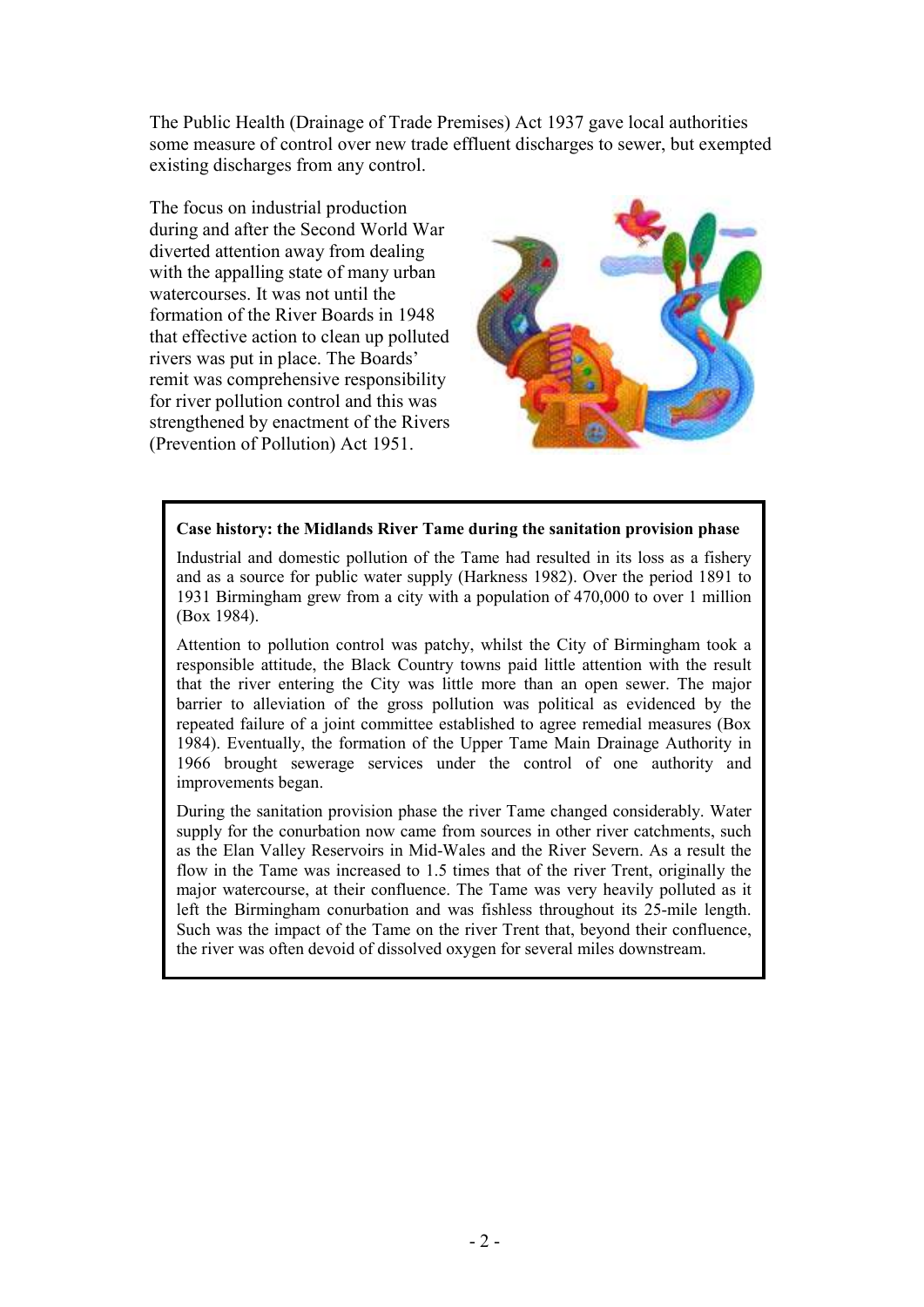The Public Health (Drainage of Trade Premises) Act 1937 gave local authorities some measure of control over new trade effluent discharges to sewer, but exempted existing discharges from any control.

The focus on industrial production during and after the Second World War diverted attention away from dealing with the appalling state of many urban watercourses. It was not until the formation of the River Boards in 1948 that effective action to clean up polluted rivers was put in place. The Boards' remit was comprehensive responsibility for river pollution control and this was strengthened by enactment of the Rivers (Prevention of Pollution) Act 1951.



#### **Case history: the Midlands River Tame during the sanitation provision phase**

Industrial and domestic pollution of the Tame had resulted in its loss as a fishery and as a source for public water supply (Harkness 1982). Over the period 1891 to 1931 Birmingham grew from a city with a population of 470,000 to over 1 million (Box 1984).

Attention to pollution control was patchy, whilst the City of Birmingham took a responsible attitude, the Black Country towns paid little attention with the result that the river entering the City was little more than an open sewer. The major barrier to alleviation of the gross pollution was political as evidenced by the repeated failure of a joint committee established to agree remedial measures (Box 1984). Eventually, the formation of the Upper Tame Main Drainage Authority in 1966 brought sewerage services under the control of one authority and improvements began.

During the sanitation provision phase the river Tame changed considerably. Water supply for the conurbation now came from sources in other river catchments, such as the Elan Valley Reservoirs in Mid-Wales and the River Severn. As a result the flow in the Tame was increased to 1.5 times that of the river Trent, originally the major watercourse, at their confluence. The Tame was very heavily polluted as it left the Birmingham conurbation and was fishless throughout its 25-mile length. Such was the impact of the Tame on the river Trent that, beyond their confluence, the river was often devoid of dissolved oxygen for several miles downstream.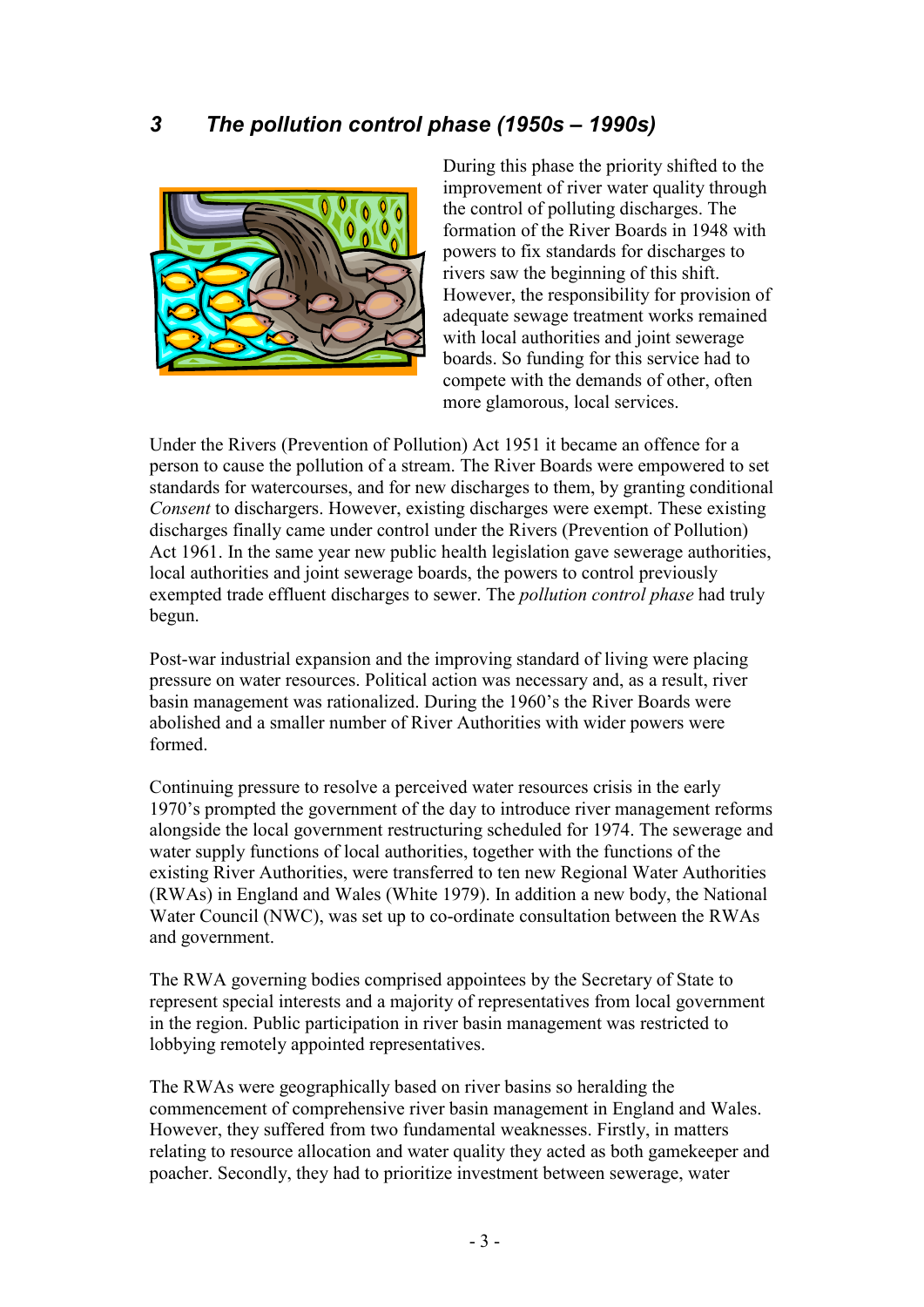### *3 The pollution control phase (1950s – 1990s)*



During this phase the priority shifted to the improvement of river water quality through the control of polluting discharges. The formation of the River Boards in 1948 with powers to fix standards for discharges to rivers saw the beginning of this shift. However, the responsibility for provision of adequate sewage treatment works remained with local authorities and joint sewerage boards. So funding for this service had to compete with the demands of other, often more glamorous, local services.

Under the Rivers (Prevention of Pollution) Act 1951 it became an offence for a person to cause the pollution of a stream. The River Boards were empowered to set standards for watercourses, and for new discharges to them, by granting conditional *Consent* to dischargers. However, existing discharges were exempt. These existing discharges finally came under control under the Rivers (Prevention of Pollution) Act 1961. In the same year new public health legislation gave sewerage authorities, local authorities and joint sewerage boards, the powers to control previously exempted trade effluent discharges to sewer. The *pollution control phase* had truly begun.

Post-war industrial expansion and the improving standard of living were placing pressure on water resources. Political action was necessary and, as a result, river basin management was rationalized. During the 1960's the River Boards were abolished and a smaller number of River Authorities with wider powers were formed.

Continuing pressure to resolve a perceived water resources crisis in the early 1970's prompted the government of the day to introduce river management reforms alongside the local government restructuring scheduled for 1974. The sewerage and water supply functions of local authorities, together with the functions of the existing River Authorities, were transferred to ten new Regional Water Authorities (RWAs) in England and Wales (White 1979). In addition a new body, the National Water Council (NWC), was set up to co-ordinate consultation between the RWAs and government.

The RWA governing bodies comprised appointees by the Secretary of State to represent special interests and a majority of representatives from local government in the region. Public participation in river basin management was restricted to lobbying remotely appointed representatives.

The RWAs were geographically based on river basins so heralding the commencement of comprehensive river basin management in England and Wales. However, they suffered from two fundamental weaknesses. Firstly, in matters relating to resource allocation and water quality they acted as both gamekeeper and poacher. Secondly, they had to prioritize investment between sewerage, water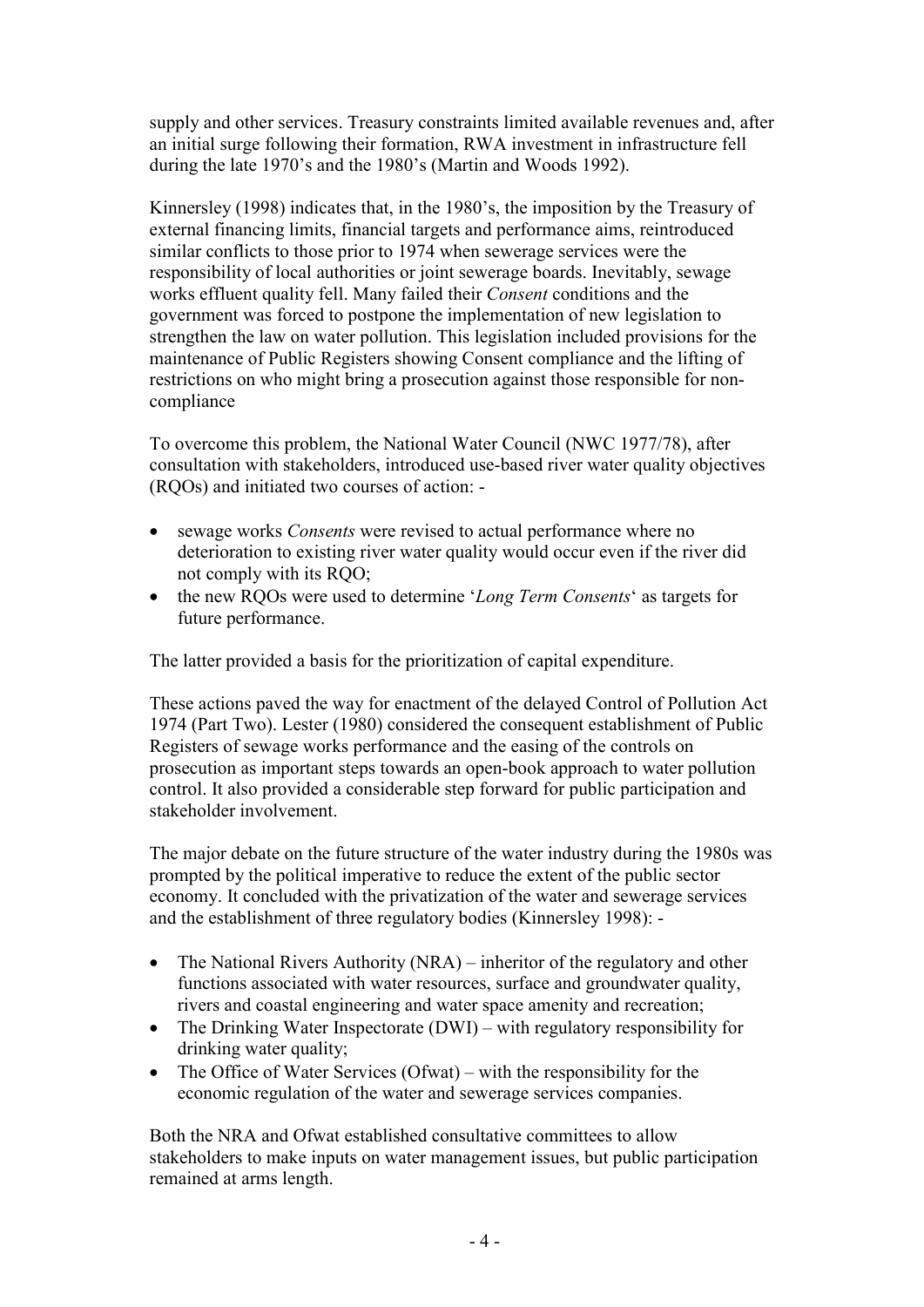supply and other services. Treasury constraints limited available revenues and, after an initial surge following their formation, RWA investment in infrastructure fell during the late 1970's and the 1980's (Martin and Woods 1992).

Kinnersley (1998) indicates that, in the 1980's, the imposition by the Treasury of external financing limits, financial targets and performance aims, reintroduced similar conflicts to those prior to 1974 when sewerage services were the responsibility of local authorities or joint sewerage boards. Inevitably, sewage works effluent quality fell. Many failed their *Consent* conditions and the government was forced to postpone the implementation of new legislation to strengthen the law on water pollution. This legislation included provisions for the maintenance of Public Registers showing Consent compliance and the lifting of restrictions on who might bring a prosecution against those responsible for noncompliance

To overcome this problem, the National Water Council (NWC 1977/78), after consultation with stakeholders, introduced use-based river water quality objectives (RQOs) and initiated two courses of action: -

- sewage works *Consents* were revised to actual performance where no deterioration to existing river water quality would occur even if the river did not comply with its RQO;
- the new RQOs were used to determine '*Long Term Consents*' as targets for future performance.

The latter provided a basis for the prioritization of capital expenditure.

These actions paved the way for enactment of the delayed Control of Pollution Act 1974 (Part Two). Lester (1980) considered the consequent establishment of Public Registers of sewage works performance and the easing of the controls on prosecution as important steps towards an open-book approach to water pollution control. It also provided a considerable step forward for public participation and stakeholder involvement.

The major debate on the future structure of the water industry during the 1980s was prompted by the political imperative to reduce the extent of the public sector economy. It concluded with the privatization of the water and sewerage services and the establishment of three regulatory bodies (Kinnersley 1998): -

- The National Rivers Authority (NRA) inheritor of the regulatory and other functions associated with water resources, surface and groundwater quality, rivers and coastal engineering and water space amenity and recreation;
- The Drinking Water Inspectorate (DWI) with regulatory responsibility for drinking water quality;
- The Office of Water Services (Ofwat) with the responsibility for the economic regulation of the water and sewerage services companies.

Both the NRA and Ofwat established consultative committees to allow stakeholders to make inputs on water management issues, but public participation remained at arms length.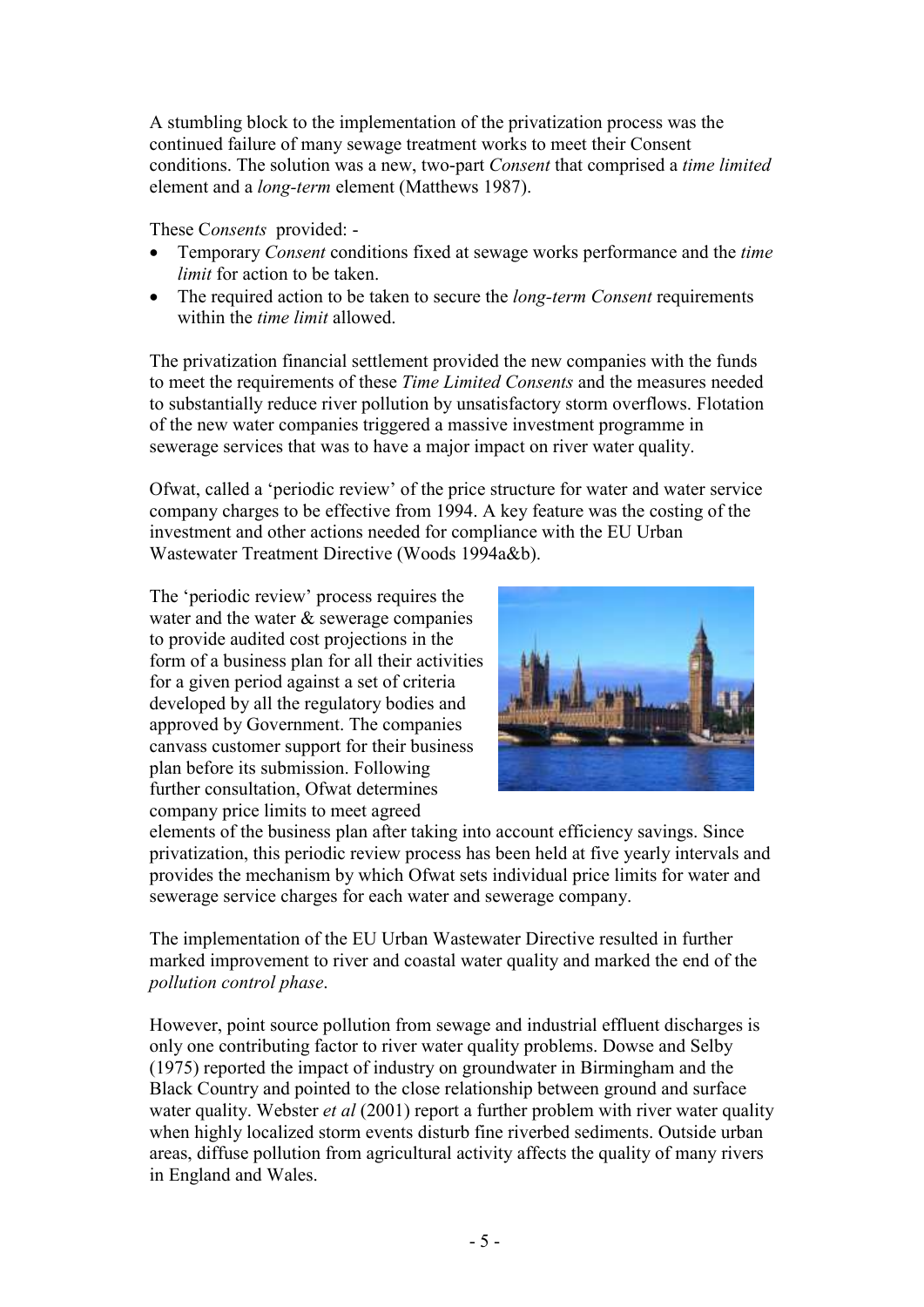A stumbling block to the implementation of the privatization process was the continued failure of many sewage treatment works to meet their Consent conditions. The solution was a new, two-part *Consent* that comprised a *time limited*  element and a *long-term* element (Matthews 1987).

These C*onsents* provided: -

- Temporary *Consent* conditions fixed at sewage works performance and the *time limit* for action to be taken.
- The required action to be taken to secure the *long-term Consent* requirements within the *time limit* allowed.

The privatization financial settlement provided the new companies with the funds to meet the requirements of these *Time Limited Consents* and the measures needed to substantially reduce river pollution by unsatisfactory storm overflows. Flotation of the new water companies triggered a massive investment programme in sewerage services that was to have a major impact on river water quality.

Ofwat, called a 'periodic review' of the price structure for water and water service company charges to be effective from 1994. A key feature was the costing of the investment and other actions needed for compliance with the EU Urban Wastewater Treatment Directive (Woods 1994a&b).

The 'periodic review' process requires the water and the water & sewerage companies to provide audited cost projections in the form of a business plan for all their activities for a given period against a set of criteria developed by all the regulatory bodies and approved by Government. The companies canvass customer support for their business plan before its submission. Following further consultation, Ofwat determines company price limits to meet agreed



elements of the business plan after taking into account efficiency savings. Since privatization, this periodic review process has been held at five yearly intervals and provides the mechanism by which Ofwat sets individual price limits for water and sewerage service charges for each water and sewerage company.

The implementation of the EU Urban Wastewater Directive resulted in further marked improvement to river and coastal water quality and marked the end of the *pollution control phase*.

However, point source pollution from sewage and industrial effluent discharges is only one contributing factor to river water quality problems. Dowse and Selby (1975) reported the impact of industry on groundwater in Birmingham and the Black Country and pointed to the close relationship between ground and surface water quality. Webster *et al* (2001) report a further problem with river water quality when highly localized storm events disturb fine riverbed sediments. Outside urban areas, diffuse pollution from agricultural activity affects the quality of many rivers in England and Wales.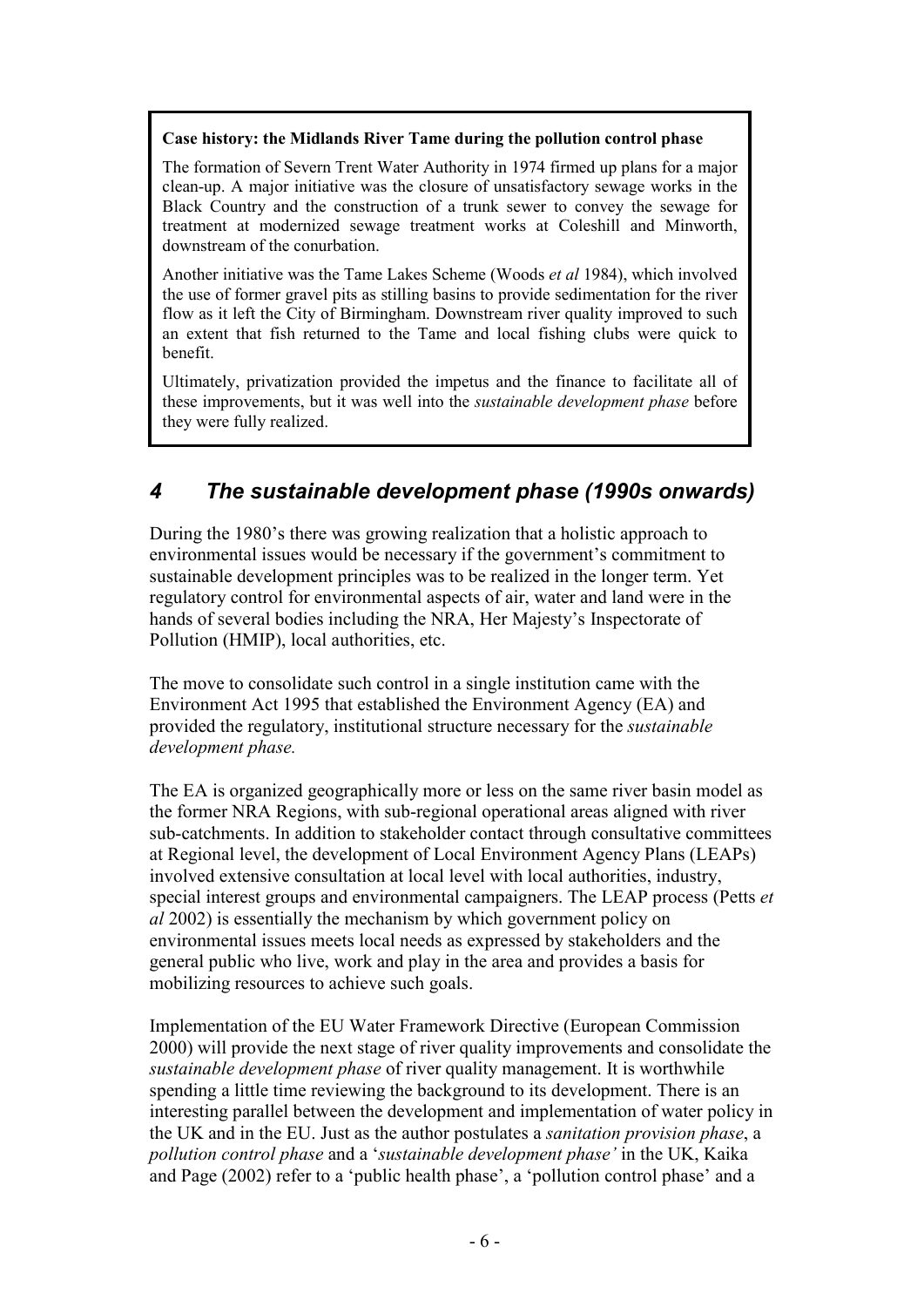#### **Case history: the Midlands River Tame during the pollution control phase**

The formation of Severn Trent Water Authority in 1974 firmed up plans for a major clean-up. A major initiative was the closure of unsatisfactory sewage works in the Black Country and the construction of a trunk sewer to convey the sewage for treatment at modernized sewage treatment works at Coleshill and Minworth, downstream of the conurbation.

Another initiative was the Tame Lakes Scheme (Woods *et al* 1984), which involved the use of former gravel pits as stilling basins to provide sedimentation for the river flow as it left the City of Birmingham. Downstream river quality improved to such an extent that fish returned to the Tame and local fishing clubs were quick to benefit.

Ultimately, privatization provided the impetus and the finance to facilitate all of these improvements, but it was well into the *sustainable development phase* before they were fully realized.

## *4 The sustainable development phase (1990s onwards)*

During the 1980's there was growing realization that a holistic approach to environmental issues would be necessary if the government's commitment to sustainable development principles was to be realized in the longer term. Yet regulatory control for environmental aspects of air, water and land were in the hands of several bodies including the NRA, Her Majesty's Inspectorate of Pollution (HMIP), local authorities, etc.

The move to consolidate such control in a single institution came with the Environment Act 1995 that established the Environment Agency (EA) and provided the regulatory, institutional structure necessary for the *sustainable development phase.* 

The EA is organized geographically more or less on the same river basin model as the former NRA Regions, with sub-regional operational areas aligned with river sub-catchments. In addition to stakeholder contact through consultative committees at Regional level, the development of Local Environment Agency Plans (LEAPs) involved extensive consultation at local level with local authorities, industry, special interest groups and environmental campaigners. The LEAP process (Petts *et al* 2002) is essentially the mechanism by which government policy on environmental issues meets local needs as expressed by stakeholders and the general public who live, work and play in the area and provides a basis for mobilizing resources to achieve such goals.

Implementation of the EU Water Framework Directive (European Commission 2000) will provide the next stage of river quality improvements and consolidate the *sustainable development phase* of river quality management. It is worthwhile spending a little time reviewing the background to its development. There is an interesting parallel between the development and implementation of water policy in the UK and in the EU. Just as the author postulates a *sanitation provision phase*, a *pollution control phase* and a '*sustainable development phase'* in the UK, Kaika and Page (2002) refer to a 'public health phase', a 'pollution control phase' and a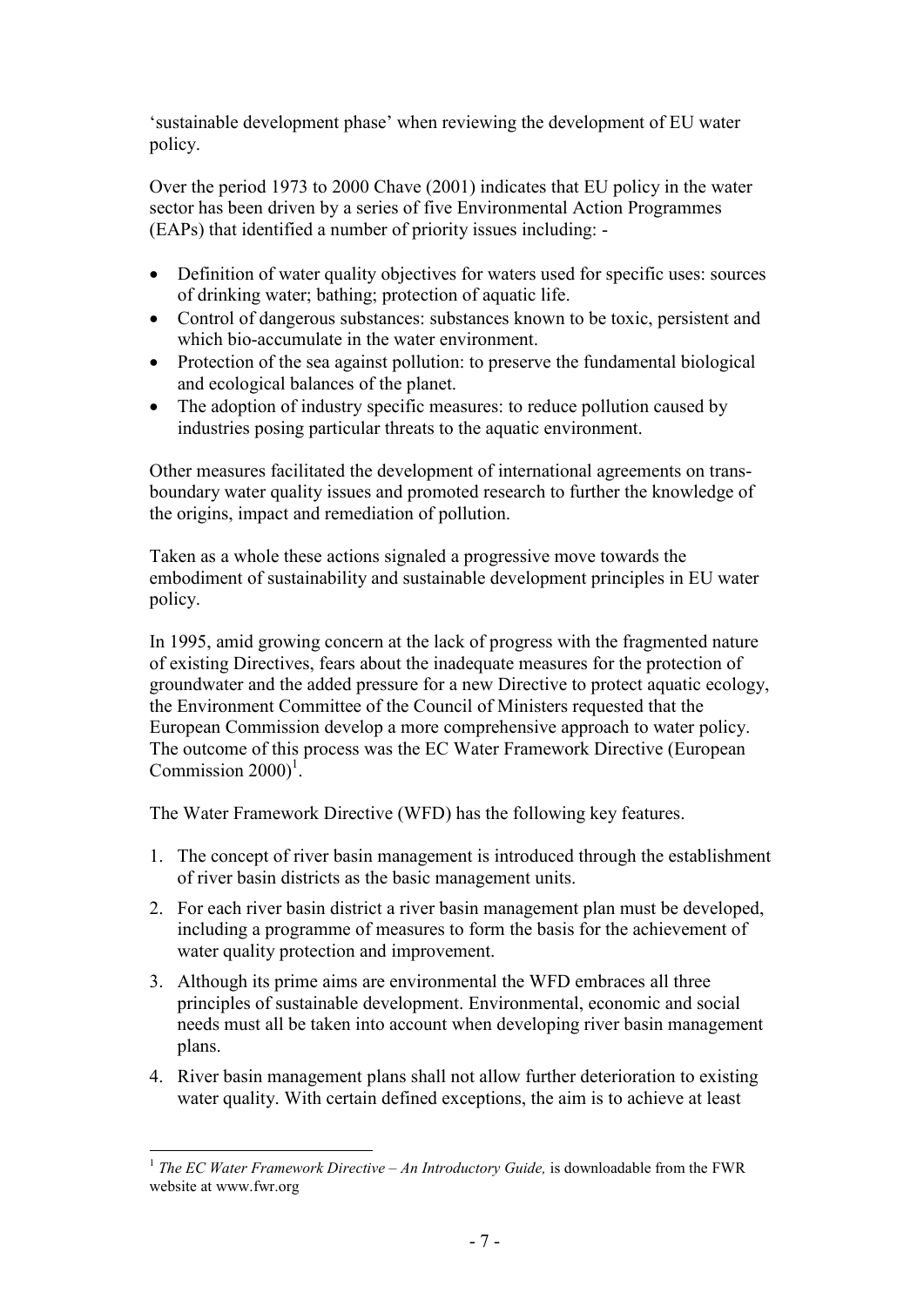'sustainable development phase' when reviewing the development of EU water policy.

Over the period 1973 to 2000 Chave (2001) indicates that EU policy in the water sector has been driven by a series of five Environmental Action Programmes (EAPs) that identified a number of priority issues including: -

- Definition of water quality objectives for waters used for specific uses: sources of drinking water; bathing; protection of aquatic life.
- Control of dangerous substances: substances known to be toxic, persistent and which bio-accumulate in the water environment.
- Protection of the sea against pollution: to preserve the fundamental biological and ecological balances of the planet.
- The adoption of industry specific measures: to reduce pollution caused by industries posing particular threats to the aquatic environment.

Other measures facilitated the development of international agreements on transboundary water quality issues and promoted research to further the knowledge of the origins, impact and remediation of pollution.

Taken as a whole these actions signaled a progressive move towards the embodiment of sustainability and sustainable development principles in EU water policy.

In 1995, amid growing concern at the lack of progress with the fragmented nature of existing Directives, fears about the inadequate measures for the protection of groundwater and the added pressure for a new Directive to protect aquatic ecology, the Environment Committee of the Council of Ministers requested that the European Commission develop a more comprehensive approach to water policy. The outcome of this process was the EC Water Framework Directive (European Commission  $2000$ <sup>1</sup>.

The Water Framework Directive (WFD) has the following key features.

- 1. The concept of river basin management is introduced through the establishment of river basin districts as the basic management units.
- 2. For each river basin district a river basin management plan must be developed, including a programme of measures to form the basis for the achievement of water quality protection and improvement.
- 3. Although its prime aims are environmental the WFD embraces all three principles of sustainable development. Environmental, economic and social needs must all be taken into account when developing river basin management plans.
- 4. River basin management plans shall not allow further deterioration to existing water quality. With certain defined exceptions, the aim is to achieve at least

 1 *The EC Water Framework Directive – An Introductory Guide,* is downloadable from the FWR website at www.fwr.org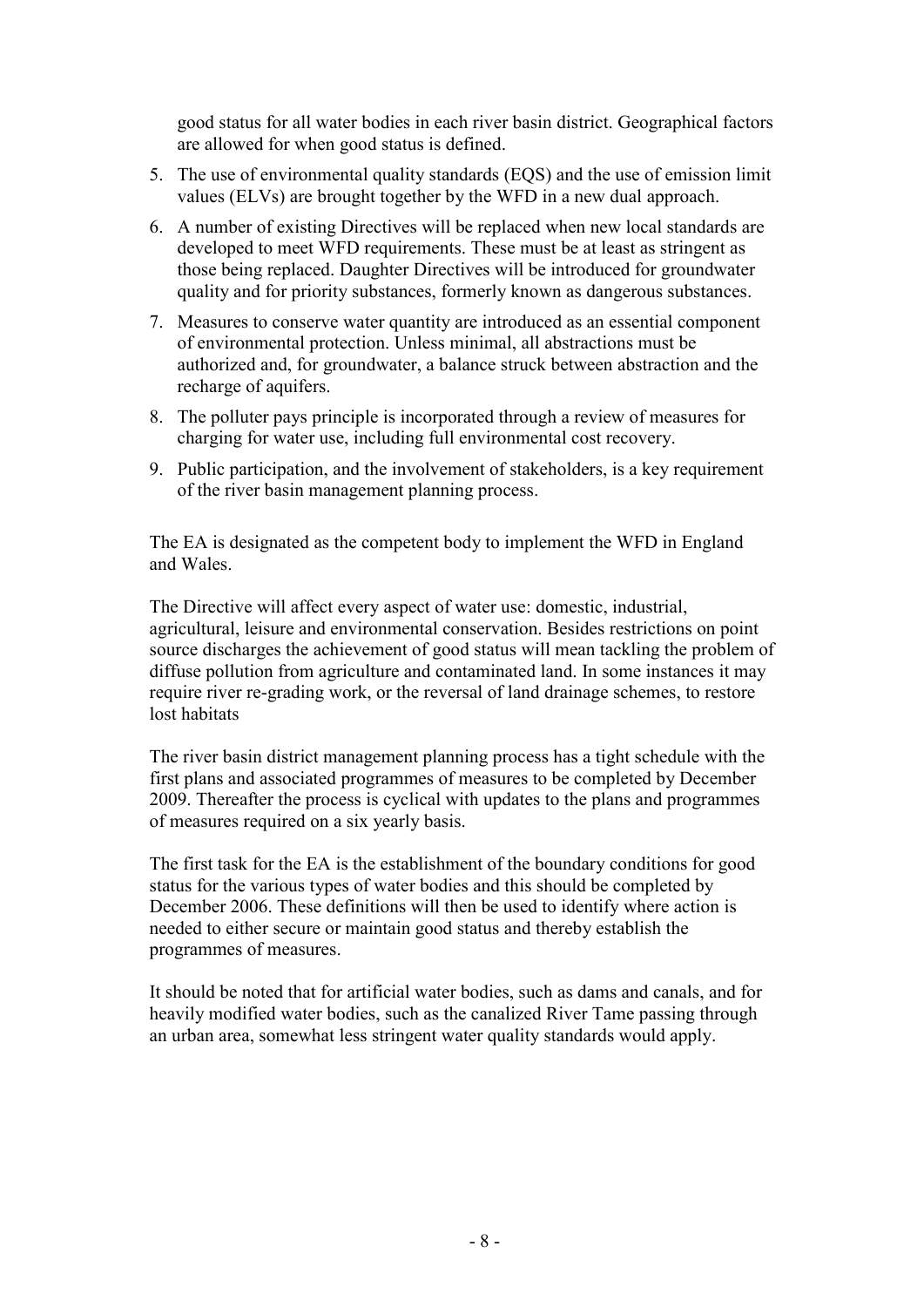good status for all water bodies in each river basin district. Geographical factors are allowed for when good status is defined.

- 5. The use of environmental quality standards (EQS) and the use of emission limit values (ELVs) are brought together by the WFD in a new dual approach.
- 6. A number of existing Directives will be replaced when new local standards are developed to meet WFD requirements. These must be at least as stringent as those being replaced. Daughter Directives will be introduced for groundwater quality and for priority substances, formerly known as dangerous substances.
- 7. Measures to conserve water quantity are introduced as an essential component of environmental protection. Unless minimal, all abstractions must be authorized and, for groundwater, a balance struck between abstraction and the recharge of aquifers.
- 8. The polluter pays principle is incorporated through a review of measures for charging for water use, including full environmental cost recovery.
- 9. Public participation, and the involvement of stakeholders, is a key requirement of the river basin management planning process.

The EA is designated as the competent body to implement the WFD in England and Wales.

The Directive will affect every aspect of water use: domestic, industrial, agricultural, leisure and environmental conservation. Besides restrictions on point source discharges the achievement of good status will mean tackling the problem of diffuse pollution from agriculture and contaminated land. In some instances it may require river re-grading work, or the reversal of land drainage schemes, to restore lost habitats

The river basin district management planning process has a tight schedule with the first plans and associated programmes of measures to be completed by December 2009. Thereafter the process is cyclical with updates to the plans and programmes of measures required on a six yearly basis.

The first task for the EA is the establishment of the boundary conditions for good status for the various types of water bodies and this should be completed by December 2006. These definitions will then be used to identify where action is needed to either secure or maintain good status and thereby establish the programmes of measures.

It should be noted that for artificial water bodies, such as dams and canals, and for heavily modified water bodies, such as the canalized River Tame passing through an urban area, somewhat less stringent water quality standards would apply.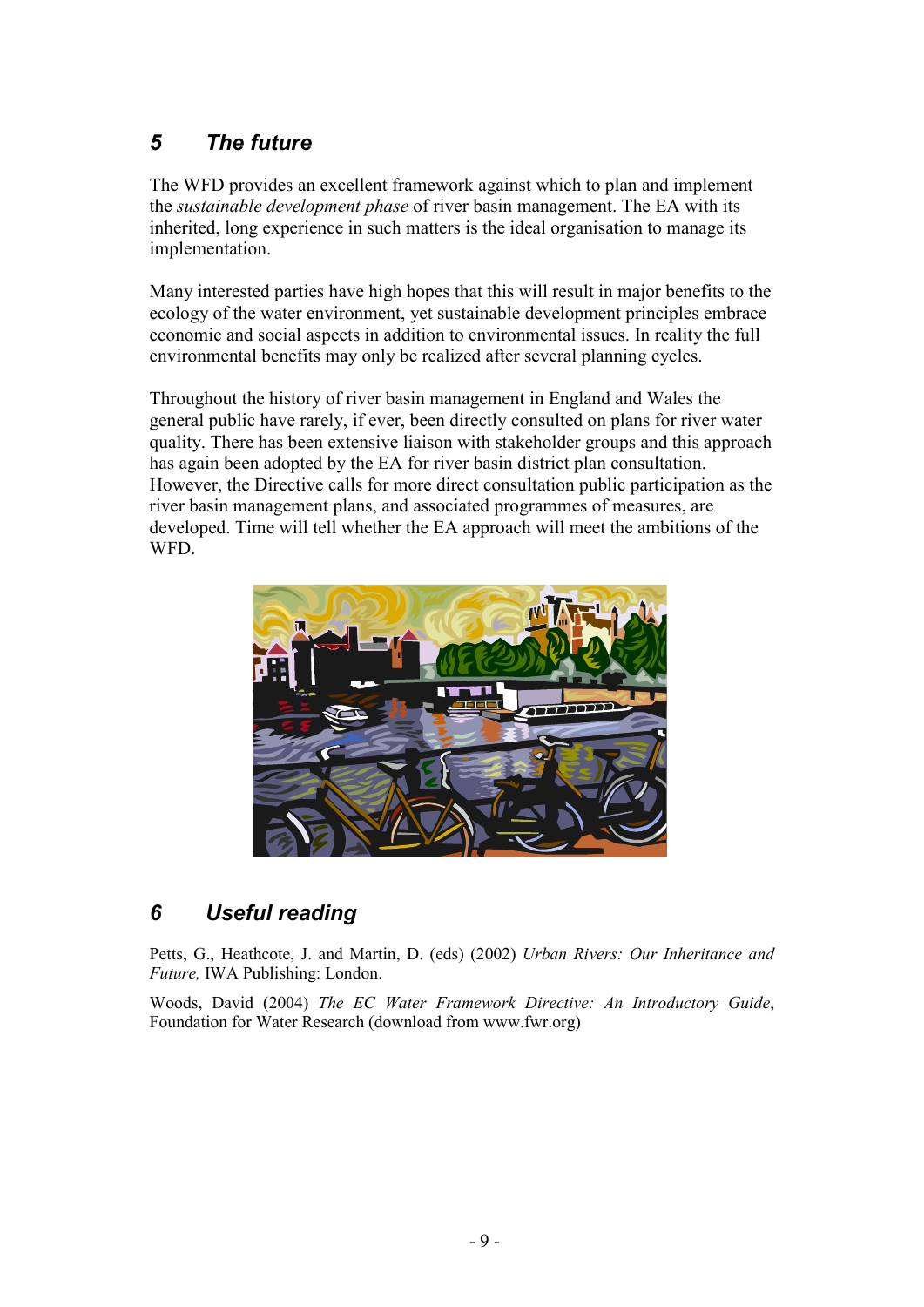# *5 The future*

The WFD provides an excellent framework against which to plan and implement the *sustainable development phase* of river basin management. The EA with its inherited, long experience in such matters is the ideal organisation to manage its implementation.

Many interested parties have high hopes that this will result in major benefits to the ecology of the water environment, yet sustainable development principles embrace economic and social aspects in addition to environmental issues. In reality the full environmental benefits may only be realized after several planning cycles.

Throughout the history of river basin management in England and Wales the general public have rarely, if ever, been directly consulted on plans for river water quality. There has been extensive liaison with stakeholder groups and this approach has again been adopted by the EA for river basin district plan consultation. However, the Directive calls for more direct consultation public participation as the river basin management plans, and associated programmes of measures, are developed. Time will tell whether the EA approach will meet the ambitions of the WFD.



## *6 Useful reading*

Petts, G., Heathcote, J. and Martin, D. (eds) (2002) *Urban Rivers: Our Inheritance and Future,* IWA Publishing: London.

Woods, David (2004) *The EC Water Framework Directive: An Introductory Guide*, Foundation for Water Research (download from www.fwr.org)